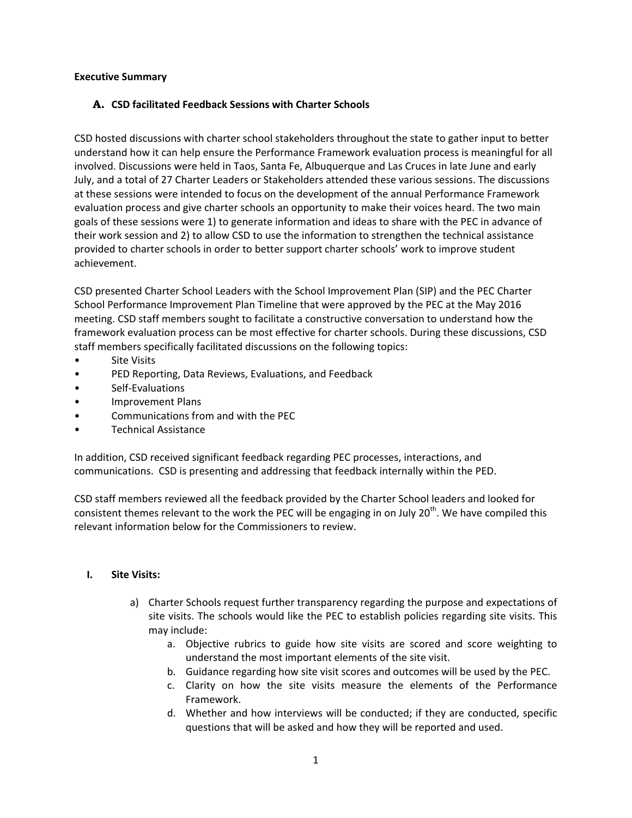### **Executive Summary**

### **A. CSD facilitated Feedback Sessions with Charter Schools**

CSD hosted discussions with charter school stakeholders throughout the state to gather input to better understand how it can help ensure the Performance Framework evaluation process is meaningful for all involved. Discussions were held in Taos, Santa Fe, Albuquerque and Las Cruces in late June and early July, and a total of 27 Charter Leaders or Stakeholders attended these various sessions. The discussions at these sessions were intended to focus on the development of the annual Performance Framework evaluation process and give charter schools an opportunity to make their voices heard. The two main goals of these sessions were 1) to generate information and ideas to share with the PEC in advance of their work session and 2) to allow CSD to use the information to strengthen the technical assistance provided to charter schools in order to better support charter schools' work to improve student achievement.

CSD presented Charter School Leaders with the School Improvement Plan (SIP) and the PEC Charter School Performance Improvement Plan Timeline that were approved by the PEC at the May 2016 meeting. CSD staff members sought to facilitate a constructive conversation to understand how the framework evaluation process can be most effective for charter schools. During these discussions, CSD staff members specifically facilitated discussions on the following topics:

- **Site Visits**
- PED Reporting, Data Reviews, Evaluations, and Feedback
- Self-Evaluations
- Improvement Plans
- Communications from and with the PEC
- Technical Assistance

In addition, CSD received significant feedback regarding PEC processes, interactions, and communications. CSD is presenting and addressing that feedback internally within the PED.

CSD staff members reviewed all the feedback provided by the Charter School leaders and looked for consistent themes relevant to the work the PEC will be engaging in on July 20<sup>th</sup>. We have compiled this relevant information below for the Commissioners to review.

### **I. Site Visits:**

- a) Charter Schools request further transparency regarding the purpose and expectations of site visits. The schools would like the PEC to establish policies regarding site visits. This may include:
	- a. Objective rubrics to guide how site visits are scored and score weighting to understand the most important elements of the site visit.
	- b. Guidance regarding how site visit scores and outcomes will be used by the PEC.
	- c. Clarity on how the site visits measure the elements of the Performance Framework.
	- d. Whether and how interviews will be conducted; if they are conducted, specific questions that will be asked and how they will be reported and used.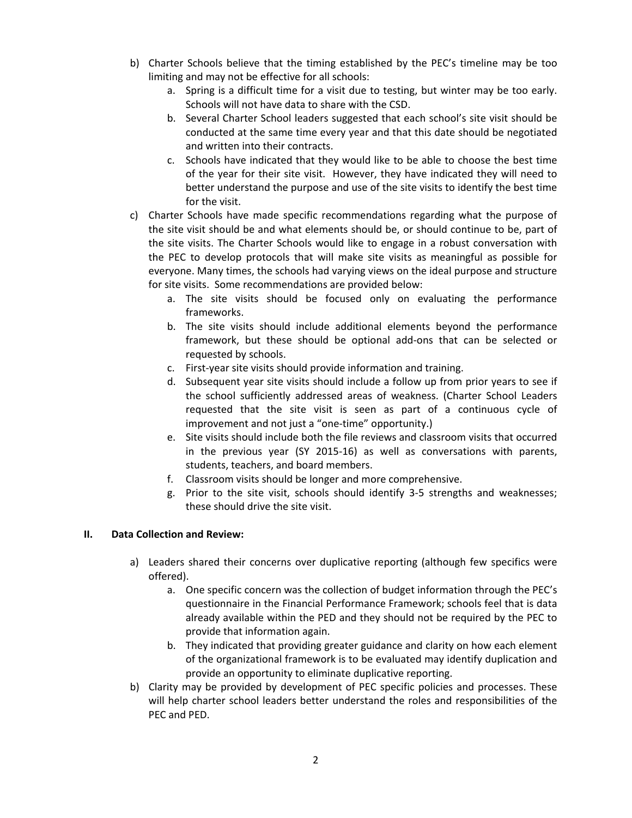- b) Charter Schools believe that the timing established by the PEC's timeline may be too limiting and may not be effective for all schools:
	- a. Spring is a difficult time for a visit due to testing, but winter may be too early. Schools will not have data to share with the CSD.
	- b. Several Charter School leaders suggested that each school's site visit should be conducted at the same time every year and that this date should be negotiated and written into their contracts.
	- c. Schools have indicated that they would like to be able to choose the best time of the year for their site visit. However, they have indicated they will need to better understand the purpose and use of the site visits to identify the best time for the visit.
- c) Charter Schools have made specific recommendations regarding what the purpose of the site visit should be and what elements should be, or should continue to be, part of the site visits. The Charter Schools would like to engage in a robust conversation with the PEC to develop protocols that will make site visits as meaningful as possible for everyone. Many times, the schools had varying views on the ideal purpose and structure for site visits. Some recommendations are provided below:
	- a. The site visits should be focused only on evaluating the performance frameworks.
	- b. The site visits should include additional elements beyond the performance framework, but these should be optional add-ons that can be selected or requested by schools.
	- c. First-year site visits should provide information and training.
	- d. Subsequent year site visits should include a follow up from prior years to see if the school sufficiently addressed areas of weakness. (Charter School Leaders requested that the site visit is seen as part of a continuous cycle of improvement and not just a "one-time" opportunity.)
	- e. Site visits should include both the file reviews and classroom visits that occurred in the previous year (SY 2015-16) as well as conversations with parents, students, teachers, and board members.
	- f. Classroom visits should be longer and more comprehensive.
	- g. Prior to the site visit, schools should identify 3-5 strengths and weaknesses; these should drive the site visit.

# **II. Data Collection and Review:**

- a) Leaders shared their concerns over duplicative reporting (although few specifics were offered).
	- a. One specific concern was the collection of budget information through the PEC's questionnaire in the Financial Performance Framework; schools feel that is data already available within the PED and they should not be required by the PEC to provide that information again.
	- b. They indicated that providing greater guidance and clarity on how each element of the organizational framework is to be evaluated may identify duplication and provide an opportunity to eliminate duplicative reporting.
- b) Clarity may be provided by development of PEC specific policies and processes. These will help charter school leaders better understand the roles and responsibilities of the PEC and PED.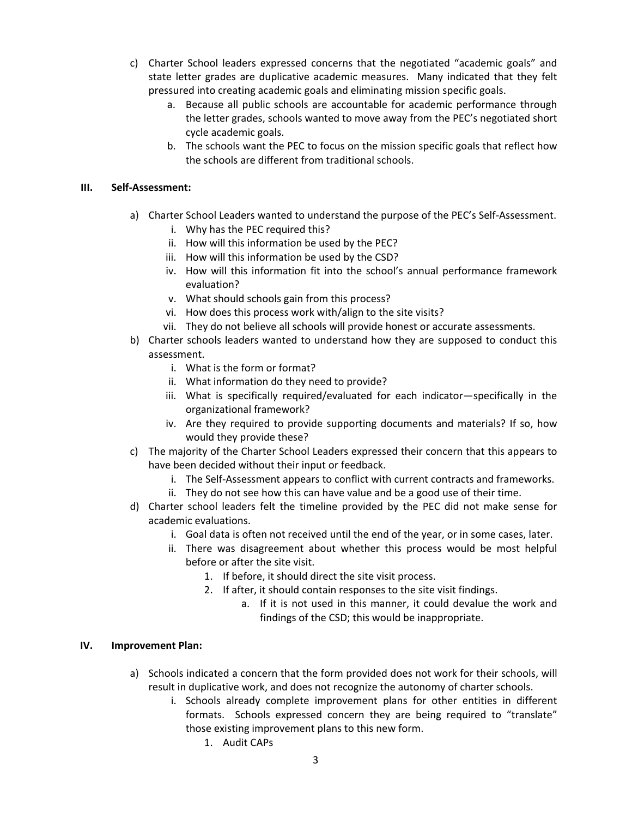- c) Charter School leaders expressed concerns that the negotiated "academic goals" and state letter grades are duplicative academic measures. Many indicated that they felt pressured into creating academic goals and eliminating mission specific goals.
	- a. Because all public schools are accountable for academic performance through the letter grades, schools wanted to move away from the PEC's negotiated short cycle academic goals.
	- b. The schools want the PEC to focus on the mission specific goals that reflect how the schools are different from traditional schools.

## **III. Self-Assessment:**

- a) Charter School Leaders wanted to understand the purpose of the PEC's Self-Assessment.
	- i. Why has the PEC required this?
	- ii. How will this information be used by the PEC?
	- iii. How will this information be used by the CSD?
	- iv. How will this information fit into the school's annual performance framework evaluation?
	- v. What should schools gain from this process?
	- vi. How does this process work with/align to the site visits?
	- vii. They do not believe all schools will provide honest or accurate assessments.
- b) Charter schools leaders wanted to understand how they are supposed to conduct this assessment.
	- i. What is the form or format?
	- ii. What information do they need to provide?
	- iii. What is specifically required/evaluated for each indicator—specifically in the organizational framework?
	- iv. Are they required to provide supporting documents and materials? If so, how would they provide these?
- c) The majority of the Charter School Leaders expressed their concern that this appears to have been decided without their input or feedback.
	- i. The Self-Assessment appears to conflict with current contracts and frameworks.
	- ii. They do not see how this can have value and be a good use of their time.
- d) Charter school leaders felt the timeline provided by the PEC did not make sense for academic evaluations.
	- i. Goal data is often not received until the end of the year, or in some cases, later.
	- ii. There was disagreement about whether this process would be most helpful before or after the site visit.
		- 1. If before, it should direct the site visit process.
		- 2. If after, it should contain responses to the site visit findings.
			- a. If it is not used in this manner, it could devalue the work and findings of the CSD; this would be inappropriate.

### **IV. Improvement Plan:**

- a) Schools indicated a concern that the form provided does not work for their schools, will result in duplicative work, and does not recognize the autonomy of charter schools.
	- i. Schools already complete improvement plans for other entities in different formats. Schools expressed concern they are being required to "translate" those existing improvement plans to this new form.
		- 1. Audit CAPs